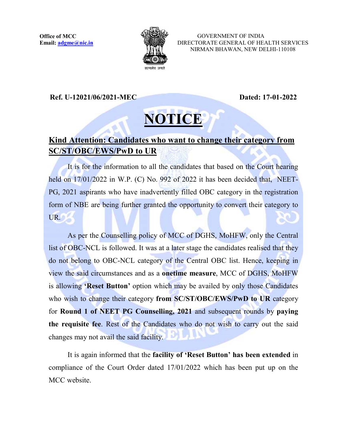

 GOVERNMENT OF INDIA DIRECTORATE GENERAL OF HEALTH SERVICES NIRMAN BHAWAN, NEW DELHI-110108

Ref. U-12021/06/2021-MEC Dated: 17-01-2022

## NOTICE

## Kind Attention: Candidates who want to change their category from SC/ST/OBC/EWS/PwD to UR

It is for the information to all the candidates that based on the Court hearing held on 17/01/2022 in W.P. (C) No. 992 of 2022 it has been decided that, NEET-PG, 2021 aspirants who have inadvertently filled OBC category in the registration form of NBE are being further granted the opportunity to convert their category to UR.

As per the Counselling policy of MCC of DGHS, MoHFW, only the Central list of OBC-NCL is followed. It was at a later stage the candidates realised that they do not belong to OBC-NCL category of the Central OBC list. Hence, keeping in view the said circumstances and as a onetime measure, MCC of DGHS, MoHFW is allowing 'Reset Button' option which may be availed by only those Candidates who wish to change their category from SC/ST/OBC/EWS/PwD to UR category for Round 1 of NEET PG Counselling, 2021 and subsequent rounds by paying the requisite fee. Rest of the Candidates who do not wish to carry out the said changes may not avail the said facility.

It is again informed that the facility of 'Reset Button' has been extended in compliance of the Court Order dated 17/01/2022 which has been put up on the MCC website.